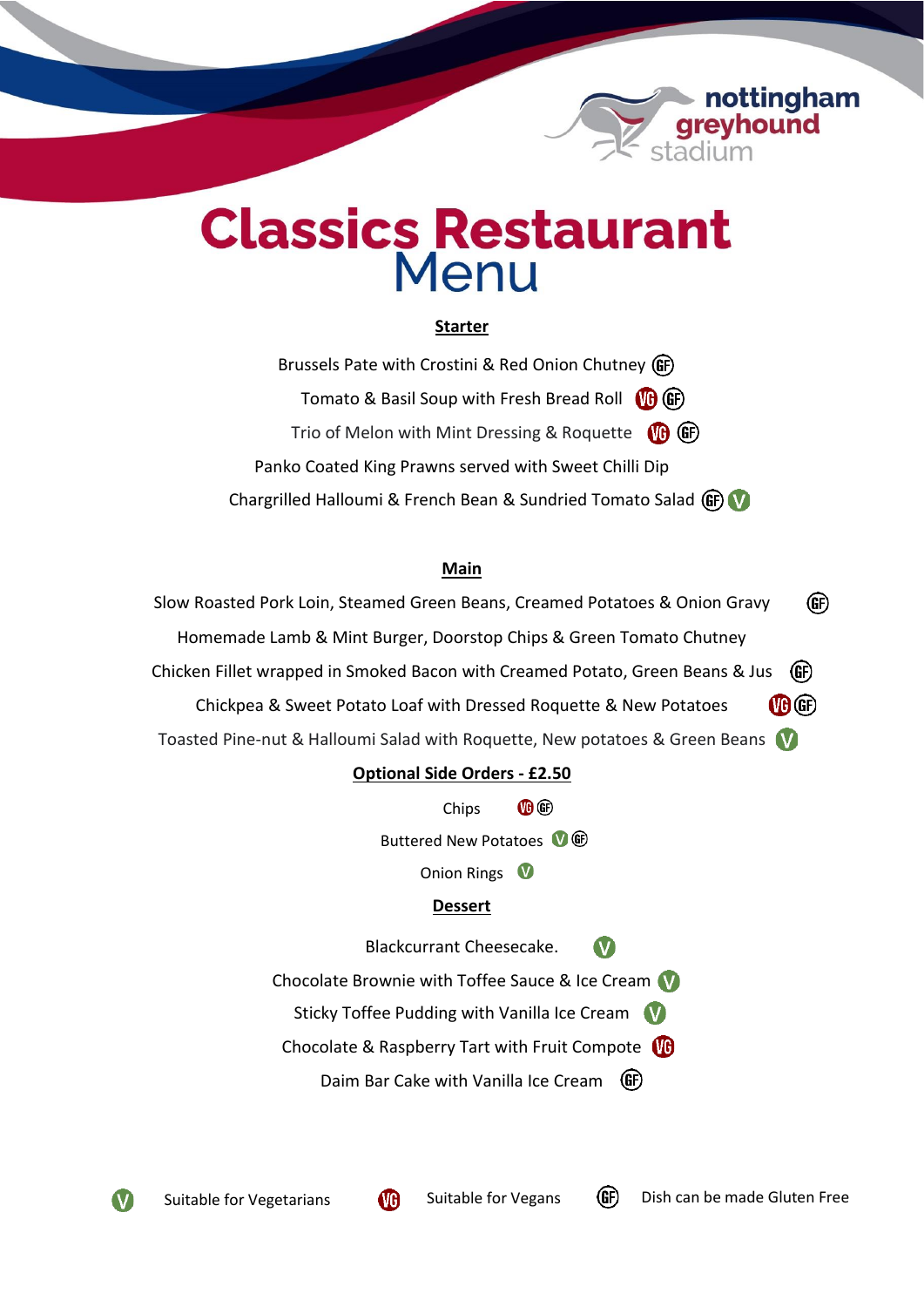

# **Classics Restaurant** Menu

PHargrilled Vegetabl

# **Starter**

Brussels Pate with Crostini & Red Onion Chutney (GF) Tomato & Basil Soup with Fresh Bread Roll (G) GF Trio of Melon with Mint Dressing & Roquette (B) GF Panko Coated King Prawns served with Sweet Chilli Dip Chargrilled Halloumi & French Bean & Sundried Tomato Salad (GF) V

## **Main**

GF) Slow Roasted Pork Loin, Steamed Green Beans, Creamed Potatoes & Onion Gravy Homemade Lamb & Mint Burger, Doorstop Chips & Green Tomato Chutney Chicken Fillet wrapped in Smoked Bacon with Creamed Potato, Green Beans & Jus GF)  $(0)$   $(F)$ Chickpea & Sweet Potato Loaf with Dressed Roquette & New Potatoes Toasted Pine-nut & Halloumi Salad with Roquette, New potatoes & Green Beans

# **Optional Side Orders - £2.50**

 $\mathbf{I}(\mathbf{F})$ Chips

Buttered New Potatoes 0 O

Onion Rings

# **Dessert**

Blackcurrant Cheesecake.  $\mathbf V$ 

Chocolate Brownie with Toffee Sauce & Ice Cream

Sticky Toffee Pudding with Vanilla Ice Cream

Chocolate & Raspberry Tart with Fruit Compote

Daim Bar Cake with Vanilla Ice Cream (GF)